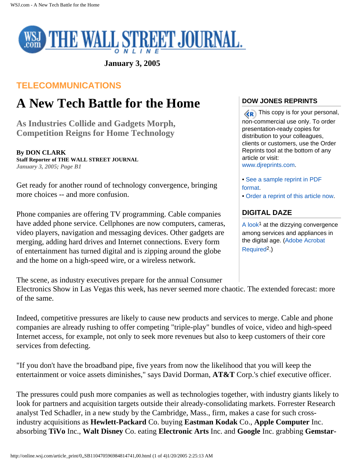

**January 3, 2005** 

## **TELECOMMUNICATIONS**

# **A New Tech Battle for the Home**

**As Industries Collide and Gadgets Morph, Competition Reigns for Home Technology**

**By DON CLARK Staff Reporter of THE WALL STREET JOURNAL** *January 3, 2005; Page B1*

Get ready for another round of technology convergence, bringing more choices -- and more confusion.

Phone companies are offering TV programming. Cable companies have added phone service. Cellphones are now computers, cameras, video players, navigation and messaging devices. Other gadgets are merging, adding hard drives and Internet connections. Every form of entertainment has turned digital and is zipping around the globe and the home on a high-speed wire, or a wireless network.

The scene, as industry executives prepare for the annual Consumer

Electronics Show in Las Vegas this week, has never seemed more chaotic. The extended forecast: more of the same.

Indeed, competitive pressures are likely to cause new products and services to merge. Cable and phone companies are already rushing to offer competing "triple-play" bundles of voice, video and high-speed Internet access, for example, not only to seek more revenues but also to keep customers of their core services from defecting.

"If you don't have the broadband pipe, five years from now the likelihood that you will keep the entertainment or voice assets diminishes," says David Dorman, **AT&T** Corp.'s chief executive officer.

The pressures could push more companies as well as technologies together, with industry giants likely to look for partners and acquisition targets outside their already-consolidating markets. Forrester Research analyst Ted Schadler, in a new study by the Cambridge, Mass., firm, makes a case for such crossindustry acquisitions as **Hewlett-Packard** Co. buying **Eastman Kodak** Co., **Apple Computer** Inc. absorbing **TiVo** Inc., **Walt Disney** Co. eating **Electronic Arts** Inc. and **Google** Inc. grabbing **Gemstar-**

### **DOW JONES REPRINTS**

 $\langle \langle \mathbf{R} \rangle$  This copy is for your personal, non-commercial use only. To order presentation-ready copies for distribution to your colleagues, clients or customers, use the Order Reprints tool at the bottom of any article or visit:

- [www.djreprints.com.](http://www.djreprints.com/)
- [See a sample reprint in PDF](http://online.wsj.com/public/resources/documents/Reprint_Samples.pdf)  [format.](http://online.wsj.com/public/resources/documents/Reprint_Samples.pdf)
- [Order a reprint of this article now](javascript:CopyrightPopUp()).

## **DIGITAL DAZE**

[A look](http://online.wsj.com/documents/wsj_dizzy010305.pdf)<sup>1</sup> at the dizzying convergence among services and appliances in the digital age. [\(Adobe Acrobat](http://www.adobe.com/products/acrobat/readstep.html)  [Required](http://www.adobe.com/products/acrobat/readstep.html)2.)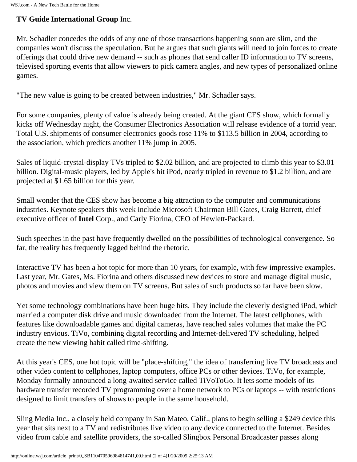## **TV Guide International Group** Inc.

Mr. Schadler concedes the odds of any one of those transactions happening soon are slim, and the companies won't discuss the speculation. But he argues that such giants will need to join forces to create offerings that could drive new demand -- such as phones that send caller ID information to TV screens, televised sporting events that allow viewers to pick camera angles, and new types of personalized online games.

"The new value is going to be created between industries," Mr. Schadler says.

For some companies, plenty of value is already being created. At the giant CES show, which formally kicks off Wednesday night, the Consumer Electronics Association will release evidence of a torrid year. Total U.S. shipments of consumer electronics goods rose 11% to \$113.5 billion in 2004, according to the association, which predicts another 11% jump in 2005.

Sales of liquid-crystal-display TVs tripled to \$2.02 billion, and are projected to climb this year to \$3.01 billion. Digital-music players, led by Apple's hit iPod, nearly tripled in revenue to \$1.2 billion, and are projected at \$1.65 billion for this year.

Small wonder that the CES show has become a big attraction to the computer and communications industries. Keynote speakers this week include Microsoft Chairman Bill Gates, Craig Barrett, chief executive officer of **Intel** Corp., and Carly Fiorina, CEO of Hewlett-Packard.

Such speeches in the past have frequently dwelled on the possibilities of technological convergence. So far, the reality has frequently lagged behind the rhetoric.

Interactive TV has been a hot topic for more than 10 years, for example, with few impressive examples. Last year, Mr. Gates, Ms. Fiorina and others discussed new devices to store and manage digital music, photos and movies and view them on TV screens. But sales of such products so far have been slow.

Yet some technology combinations have been huge hits. They include the cleverly designed iPod, which married a computer disk drive and music downloaded from the Internet. The latest cellphones, with features like downloadable games and digital cameras, have reached sales volumes that make the PC industry envious. TiVo, combining digital recording and Internet-delivered TV scheduling, helped create the new viewing habit called time-shifting.

At this year's CES, one hot topic will be "place-shifting," the idea of transferring live TV broadcasts and other video content to cellphones, laptop computers, office PCs or other devices. TiVo, for example, Monday formally announced a long-awaited service called TiVoToGo. It lets some models of its hardware transfer recorded TV programming over a home network to PCs or laptops -- with restrictions designed to limit transfers of shows to people in the same household.

Sling Media Inc., a closely held company in San Mateo, Calif., plans to begin selling a \$249 device this year that sits next to a TV and redistributes live video to any device connected to the Internet. Besides video from cable and satellite providers, the so-called Slingbox Personal Broadcaster passes along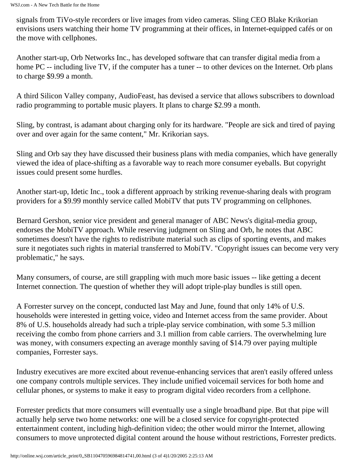signals from TiVo-style recorders or live images from video cameras. Sling CEO Blake Krikorian envisions users watching their home TV programming at their offices, in Internet-equipped cafés or on the move with cellphones.

Another start-up, Orb Networks Inc., has developed software that can transfer digital media from a home PC -- including live TV, if the computer has a tuner -- to other devices on the Internet. Orb plans to charge \$9.99 a month.

A third Silicon Valley company, AudioFeast, has devised a service that allows subscribers to download radio programming to portable music players. It plans to charge \$2.99 a month.

Sling, by contrast, is adamant about charging only for its hardware. "People are sick and tired of paying over and over again for the same content," Mr. Krikorian says.

Sling and Orb say they have discussed their business plans with media companies, which have generally viewed the idea of place-shifting as a favorable way to reach more consumer eyeballs. But copyright issues could present some hurdles.

Another start-up, Idetic Inc., took a different approach by striking revenue-sharing deals with program providers for a \$9.99 monthly service called MobiTV that puts TV programming on cellphones.

Bernard Gershon, senior vice president and general manager of ABC News's digital-media group, endorses the MobiTV approach. While reserving judgment on Sling and Orb, he notes that ABC sometimes doesn't have the rights to redistribute material such as clips of sporting events, and makes sure it negotiates such rights in material transferred to MobiTV. "Copyright issues can become very very problematic," he says.

Many consumers, of course, are still grappling with much more basic issues -- like getting a decent Internet connection. The question of whether they will adopt triple-play bundles is still open.

A Forrester survey on the concept, conducted last May and June, found that only 14% of U.S. households were interested in getting voice, video and Internet access from the same provider. About 8% of U.S. households already had such a triple-play service combination, with some 5.3 million receiving the combo from phone carriers and 3.1 million from cable carriers. The overwhelming lure was money, with consumers expecting an average monthly saving of \$14.79 over paying multiple companies, Forrester says.

Industry executives are more excited about revenue-enhancing services that aren't easily offered unless one company controls multiple services. They include unified voicemail services for both home and cellular phones, or systems to make it easy to program digital video recorders from a cellphone.

Forrester predicts that more consumers will eventually use a single broadband pipe. But that pipe will actually help serve two home networks: one will be a closed service for copyright-protected entertainment content, including high-definition video; the other would mirror the Internet, allowing consumers to move unprotected digital content around the house without restrictions, Forrester predicts.